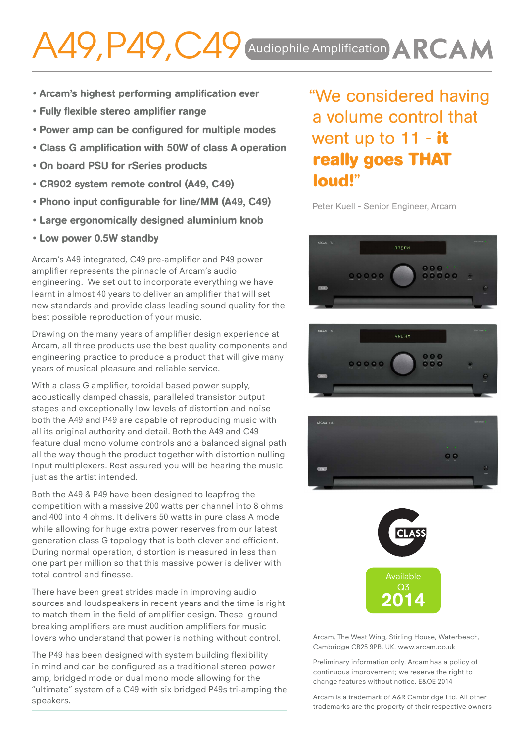## A49, P49, C49 Audiophile Amplification ARCAM

- Arcam's highest performing amplification ever
- Fully flexible stereo amplifier range
- Power amp can be configured for multiple modes
- Class G amplification with 50W of class A operation
- On board PSU for rSeries products
- CR902 system remote control (A49, C49)
- Phono input configurable for line/MM (A49, C49)
- Large ergonomically designed aluminium knob
- Low power 0.5W standby

Arcam's A49 integrated, C49 pre-amplifier and P49 power amplifier represents the pinnacle of Arcam's audio engineering. We set out to incorporate everything we have learnt in almost 40 years to deliver an amplifier that will set new standards and provide class leading sound quality for the best possible reproduction of your music.

Drawing on the many years of amplifier design experience at Arcam, all three products use the best quality components and engineering practice to produce a product that will give many years of musical pleasure and reliable service.

With a class G amplifier, toroidal based power supply, acoustically damped chassis, paralleled transistor output stages and exceptionally low levels of distortion and noise both the A49 and P49 are capable of reproducing music with all its original authority and detail. Both the A49 and C49 feature dual mono volume controls and a balanced signal path all the way though the product together with distortion nulling input multiplexers. Rest assured you will be hearing the music just as the artist intended.

Both the A49 & P49 have been designed to leapfrog the competition with a massive 200 watts per channel into 8 ohms and 400 into 4 ohms. It delivers 50 watts in pure class A mode while allowing for huge extra power reserves from our latest generation class G topology that is both clever and efficient. During normal operation, distortion is measured in less than one part per million so that this massive power is deliver with total control and finesse.

There have been great strides made in improving audio sources and loudspeakers in recent years and the time is right to match them in the field of amplifier design. These ground breaking amplifiers are must audition amplifiers for music lovers who understand that power is nothing without control.

The P49 has been designed with system building flexibility in mind and can be configured as a traditional stereo power amp, bridged mode or dual mono mode allowing for the "ultimate" system of a C49 with six bridged P49s tri-amping the speakers.

"We considered having a volume control that went up to 11 - **it really goes THAT loud!**"

Peter Kuell - Senior Engineer, Arcam









Arcam, The West Wing, Stirling House, Waterbeach, Cambridge CB25 9PB, UK. www.arcam.co.uk

Preliminary information only. Arcam has a policy of continuous improvement; we reserve the right to change features without notice. E&OE 2014

Arcam is a trademark of A&R Cambridge Ltd. All other trademarks are the property of their respective owners